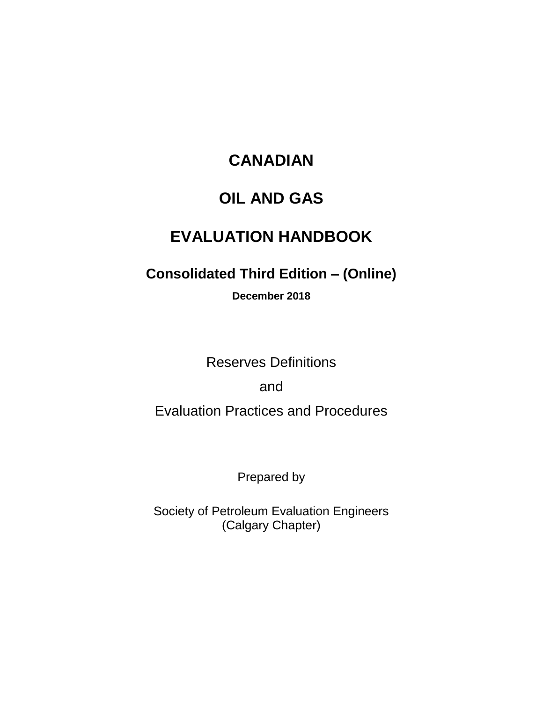## **CANADIAN**

## **OIL AND GAS**

# **EVALUATION HANDBOOK**

## **Consolidated Third Edition – (Online)**

**December 2018**

Reserves Definitions

and

Evaluation Practices and Procedures

Prepared by

Society of Petroleum Evaluation Engineers (Calgary Chapter)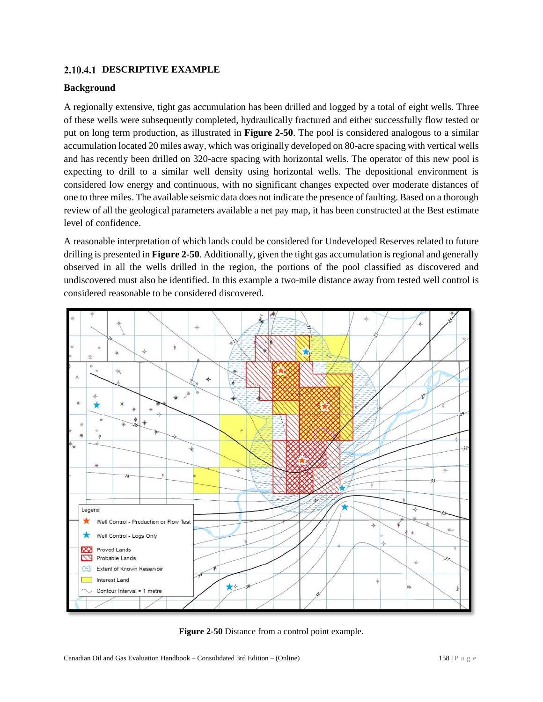#### **DESCRIPTIVE EXAMPLE**

#### **Background**

A regionally extensive, tight gas accumulation has been drilled and logged by a total of eight wells. Three of these wells were subsequently completed, hydraulically fractured and either successfully flow tested or put on long term production, as illustrated in **Figure 2-50**. The pool is considered analogous to a similar accumulation located 20 miles away, which was originally developed on 80-acre spacing with vertical wells and has recently been drilled on 320-acre spacing with horizontal wells. The operator of this new pool is expecting to drill to a similar well density using horizontal wells. The depositional environment is considered low energy and continuous, with no significant changes expected over moderate distances of one to three miles. The available seismic data does not indicate the presence of faulting. Based on a thorough review of all the geological parameters available a net pay map, it has been constructed at the Best estimate level of confidence.

A reasonable interpretation of which lands could be considered for Undeveloped Reserves related to future drilling is presented in **Figure 2-50**. Additionally, given the tight gas accumulation is regional and generally observed in all the wells drilled in the region, the portions of the pool classified as discovered and undiscovered must also be identified. In this example a two-mile distance away from tested well control is considered reasonable to be considered discovered.



**Figure 2-50** Distance from a control point example.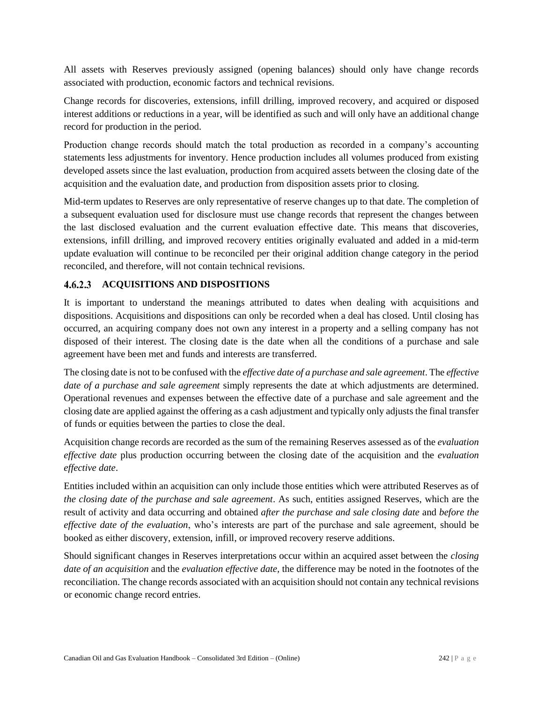All assets with Reserves previously assigned (opening balances) should only have change records associated with production, economic factors and technical revisions.

Change records for discoveries, extensions, infill drilling, improved recovery, and acquired or disposed interest additions or reductions in a year, will be identified as such and will only have an additional change record for production in the period.

Production change records should match the total production as recorded in a company's accounting statements less adjustments for inventory. Hence production includes all volumes produced from existing developed assets since the last evaluation, production from acquired assets between the closing date of the acquisition and the evaluation date, and production from disposition assets prior to closing.

Mid-term updates to Reserves are only representative of reserve changes up to that date. The completion of a subsequent evaluation used for disclosure must use change records that represent the changes between the last disclosed evaluation and the current evaluation effective date. This means that discoveries, extensions, infill drilling, and improved recovery entities originally evaluated and added in a mid-term update evaluation will continue to be reconciled per their original addition change category in the period reconciled, and therefore, will not contain technical revisions.

#### **ACQUISITIONS AND DISPOSITIONS**

It is important to understand the meanings attributed to dates when dealing with acquisitions and dispositions. Acquisitions and dispositions can only be recorded when a deal has closed. Until closing has occurred, an acquiring company does not own any interest in a property and a selling company has not disposed of their interest. The closing date is the date when all the conditions of a purchase and sale agreement have been met and funds and interests are transferred.

The closing date is not to be confused with the *effective date of a purchase and sale agreement*. The *effective date of a purchase and sale agreement* simply represents the date at which adjustments are determined. Operational revenues and expenses between the effective date of a purchase and sale agreement and the closing date are applied against the offering as a cash adjustment and typically only adjusts the final transfer of funds or equities between the parties to close the deal.

Acquisition change records are recorded as the sum of the remaining Reserves assessed as of the *evaluation effective date* plus production occurring between the closing date of the acquisition and the *evaluation effective date*.

Entities included within an acquisition can only include those entities which were attributed Reserves as of *the closing date of the purchase and sale agreement*. As such, entities assigned Reserves, which are the result of activity and data occurring and obtained *after the purchase and sale closing date* and *before the effective date of the evaluation*, who's interests are part of the purchase and sale agreement, should be booked as either discovery, extension, infill, or improved recovery reserve additions.

Should significant changes in Reserves interpretations occur within an acquired asset between the *closing date of an acquisition* and the *evaluation effective date,* the difference may be noted in the footnotes of the reconciliation. The change records associated with an acquisition should not contain any technical revisions or economic change record entries.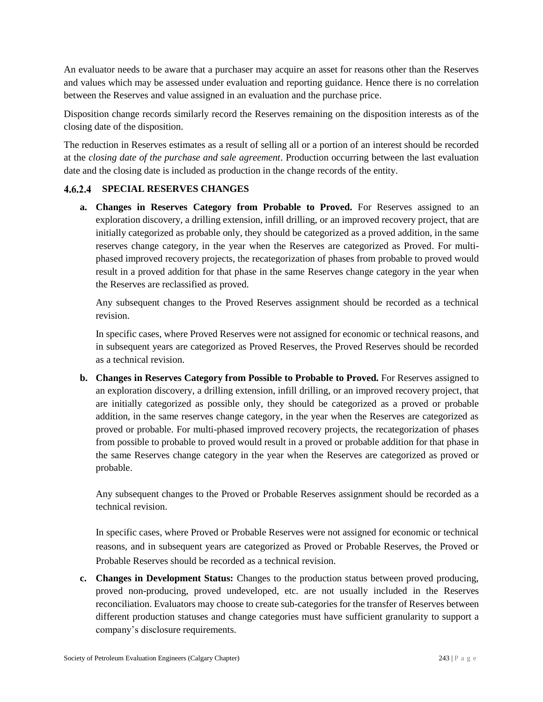An evaluator needs to be aware that a purchaser may acquire an asset for reasons other than the Reserves and values which may be assessed under evaluation and reporting guidance. Hence there is no correlation between the Reserves and value assigned in an evaluation and the purchase price.

Disposition change records similarly record the Reserves remaining on the disposition interests as of the closing date of the disposition.

The reduction in Reserves estimates as a result of selling all or a portion of an interest should be recorded at the *closing date of the purchase and sale agreement*. Production occurring between the last evaluation date and the closing date is included as production in the change records of the entity.

### **SPECIAL RESERVES CHANGES**

**a. Changes in Reserves Category from Probable to Proved.** For Reserves assigned to an exploration discovery, a drilling extension, infill drilling, or an improved recovery project, that are initially categorized as probable only, they should be categorized as a proved addition, in the same reserves change category, in the year when the Reserves are categorized as Proved. For multiphased improved recovery projects, the recategorization of phases from probable to proved would result in a proved addition for that phase in the same Reserves change category in the year when the Reserves are reclassified as proved.

Any subsequent changes to the Proved Reserves assignment should be recorded as a technical revision.

In specific cases, where Proved Reserves were not assigned for economic or technical reasons, and in subsequent years are categorized as Proved Reserves, the Proved Reserves should be recorded as a technical revision.

**b. Changes in Reserves Category from Possible to Probable to Proved.** For Reserves assigned to an exploration discovery, a drilling extension, infill drilling, or an improved recovery project, that are initially categorized as possible only, they should be categorized as a proved or probable addition, in the same reserves change category, in the year when the Reserves are categorized as proved or probable. For multi-phased improved recovery projects, the recategorization of phases from possible to probable to proved would result in a proved or probable addition for that phase in the same Reserves change category in the year when the Reserves are categorized as proved or probable.

Any subsequent changes to the Proved or Probable Reserves assignment should be recorded as a technical revision.

In specific cases, where Proved or Probable Reserves were not assigned for economic or technical reasons, and in subsequent years are categorized as Proved or Probable Reserves, the Proved or Probable Reserves should be recorded as a technical revision.

**c. Changes in Development Status:** Changes to the production status between proved producing, proved non-producing, proved undeveloped, etc. are not usually included in the Reserves reconciliation. Evaluators may choose to create sub-categories for the transfer of Reserves between different production statuses and change categories must have sufficient granularity to support a company's disclosure requirements.